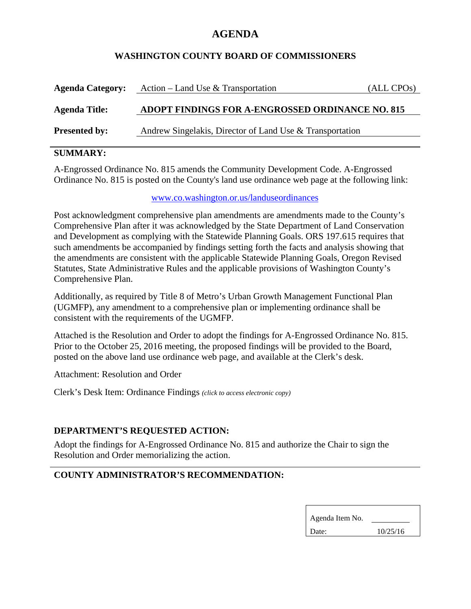# **AGENDA**

#### **WASHINGTON COUNTY BOARD OF COMMISSIONERS**

| <b>Agenda Category:</b> | Action – Land Use & Transportation                       | (ALL CPOs) |
|-------------------------|----------------------------------------------------------|------------|
| <b>Agenda Title:</b>    | ADOPT FINDINGS FOR A-ENGROSSED ORDINANCE NO. 815         |            |
| <b>Presented by:</b>    | Andrew Singelakis, Director of Land Use & Transportation |            |

## **SUMMARY:**

A-Engrossed Ordinance No. 815 amends the Community Development Code. A-Engrossed Ordinance No. 815 is posted on the County's land use ordinance web page at the following link:

www.co.washington.or.us/landuseordinances

Post acknowledgment comprehensive plan amendments are amendments made to the County's Comprehensive Plan after it was acknowledged by the State Department of Land Conservation and Development as complying with the Statewide Planning Goals. ORS 197.615 requires that such amendments be accompanied by findings setting forth the facts and analysis showing that the amendments are consistent with the applicable Statewide Planning Goals, Oregon Revised Statutes, State Administrative Rules and the applicable provisions of Washington County's Comprehensive Plan.

Additionally, as required by Title 8 of Metro's Urban Growth Management Functional Plan (UGMFP), any amendment to a comprehensive plan or implementing ordinance shall be consistent with the requirements of the UGMFP.

Attached is the Resolution and Order to adopt the findings for A-Engrossed Ordinance No. 815. Prior to the October 25, 2016 meeting, the proposed findings will be provided to the Board, posted on the above land use ordinance web page, and available at the Clerk's desk.

Attachment: Resolution and Order

Clerk's Desk Item: Ordinance Findings *(click to access electronic copy)*

## **DEPARTMENT'S REQUESTED ACTION:**

Adopt the findings for A-Engrossed Ordinance No. 815 and authorize the Chair to sign the Resolution and Order memorializing the action.

## **COUNTY ADMINISTRATOR'S RECOMMENDATION:**

| Agenda Item No. |          |  |
|-----------------|----------|--|
| Date:           | 10/25/16 |  |